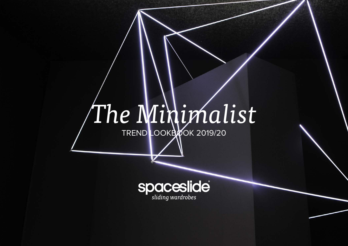# *The Minimalist*

TREND LOOKBOOK 2019/20

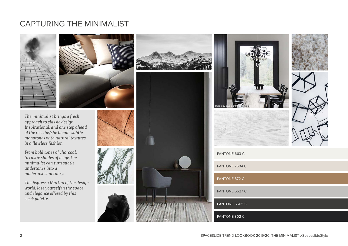### CAPTURING THE MINIMALIST



*The minimalist brings a fresh approach to classic design. Inspirational, and one step ahead of the rest, he/she blends subtle monotones with natural textures in a flawless fashion.* 

*From bold tones of charcoal, to rustic shades of beige, the minimalist can turn subtle undertones into a modernist sanctuary.* 

*The Espresso Martini of the design world, lose yourself in the space and elegance offered by this sleek palette.*







PANTONE 7604 C PANTONE 872 C PANTONE 5527 C PANTONE 5605 C

PANTONE 302 C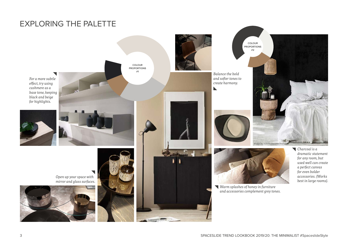### EXPLORING THE PALETTE

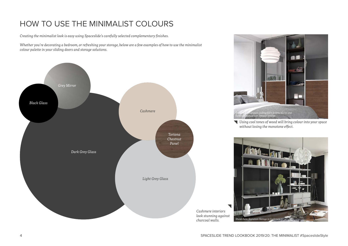## HOW TO USE THE MINIMALIST COLOURS

*Creating the minimalist look is easy using Spaceslide's carefully selected complementary finishes.* 

*Whether you're decorating a bedroom, or refreshing your storage, below are a few examples of how to use the minimalist colour palette in your sliding doors and storage solutions.*





*Using cool tones of wood will bring colour into your space without losing the monotone effect.*